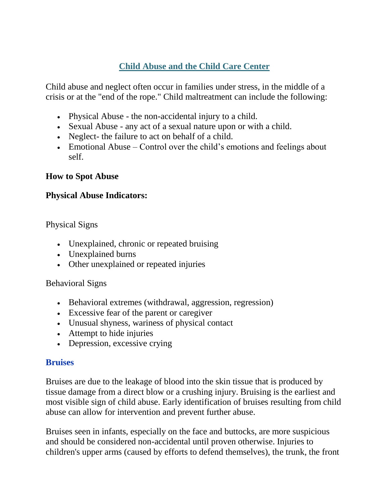# **Child Abuse and the Child Care Center**

Child abuse and neglect often occur in families under stress, in the middle of a crisis or at the "end of the rope." Child maltreatment can include the following:

- Physical Abuse the non-accidental injury to a child.
- Sexual Abuse any act of a sexual nature upon or with a child.
- Neglect- the failure to act on behalf of a child.
- Emotional Abuse Control over the child's emotions and feelings about self.

# **How to Spot Abuse**

# **Physical Abuse Indicators:**

Physical Signs

- Unexplained, chronic or repeated bruising
- Unexplained burns
- Other unexplained or repeated injuries

### Behavioral Signs

- Behavioral extremes (withdrawal, aggression, regression)
- Excessive fear of the parent or caregiver
- Unusual shyness, wariness of physical contact
- Attempt to hide injuries
- Depression, excessive crying

### **Bruises**

Bruises are due to the leakage of blood into the skin tissue that is produced by tissue damage from a direct blow or a crushing injury. Bruising is the earliest and most visible sign of child abuse. Early identification of bruises resulting from child abuse can allow for intervention and prevent further abuse.

Bruises seen in infants, especially on the face and buttocks, are more suspicious and should be considered non-accidental until proven otherwise. Injuries to children's upper arms (caused by efforts to defend themselves), the trunk, the front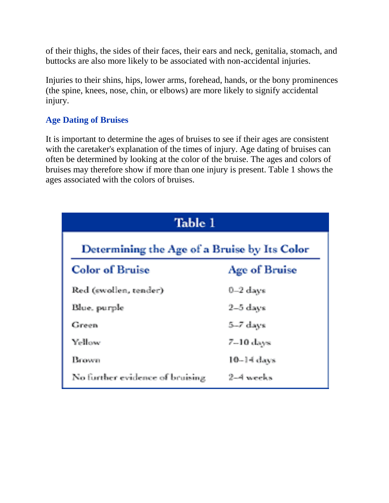of their thighs, the sides of their faces, their ears and neck, genitalia, stomach, and buttocks are also more likely to be associated with non-accidental injuries.

Injuries to their shins, hips, lower arms, forehead, hands, or the bony prominences (the spine, knees, nose, chin, or elbows) are more likely to signify accidental injury.

### **Age Dating of Bruises**

It is important to determine the ages of bruises to see if their ages are consistent with the caretaker's explanation of the times of injury. Age dating of bruises can often be determined by looking at the color of the bruise. The ages and colors of bruises may therefore show if more than one injury is present. Table 1 shows the ages associated with the colors of bruises.

| Table 1                                      |               |
|----------------------------------------------|---------------|
| Determining the Age of a Bruise by Its Color |               |
| <b>Color of Bruise</b>                       | Age of Bruise |
| Red (swollen, tender)                        | $0-2$ days    |
| Blue, purple                                 | $2-5$ days    |
| Green                                        | 5-7 days      |
| Yellow                                       | $7-10$ days   |
| Brown                                        | $10-14$ days  |
| No further evidence of bruising              | 2-4 weeks     |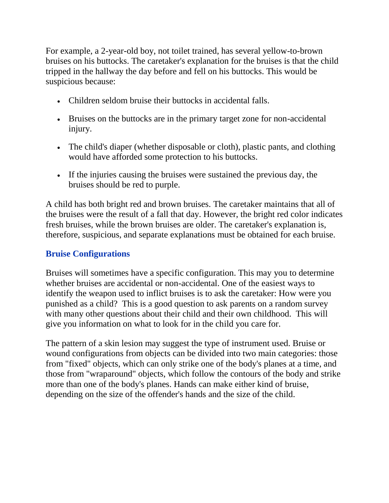For example, a 2-year-old boy, not toilet trained, has several yellow-to-brown bruises on his buttocks. The caretaker's explanation for the bruises is that the child tripped in the hallway the day before and fell on his buttocks. This would be suspicious because:

- Children seldom bruise their buttocks in accidental falls.
- Bruises on the buttocks are in the primary target zone for non-accidental injury.
- The child's diaper (whether disposable or cloth), plastic pants, and clothing would have afforded some protection to his buttocks.
- If the injuries causing the bruises were sustained the previous day, the bruises should be red to purple.

A child has both bright red and brown bruises. The caretaker maintains that all of the bruises were the result of a fall that day. However, the bright red color indicates fresh bruises, while the brown bruises are older. The caretaker's explanation is, therefore, suspicious, and separate explanations must be obtained for each bruise.

### **Bruise Configurations**

Bruises will sometimes have a specific configuration. This may you to determine whether bruises are accidental or non-accidental. One of the easiest ways to identify the weapon used to inflict bruises is to ask the caretaker: How were you punished as a child? This is a good question to ask parents on a random survey with many other questions about their child and their own childhood. This will give you information on what to look for in the child you care for.

The pattern of a skin lesion may suggest the type of instrument used. Bruise or wound configurations from objects can be divided into two main categories: those from "fixed" objects, which can only strike one of the body's planes at a time, and those from "wraparound" objects, which follow the contours of the body and strike more than one of the body's planes. Hands can make either kind of bruise, depending on the size of the offender's hands and the size of the child.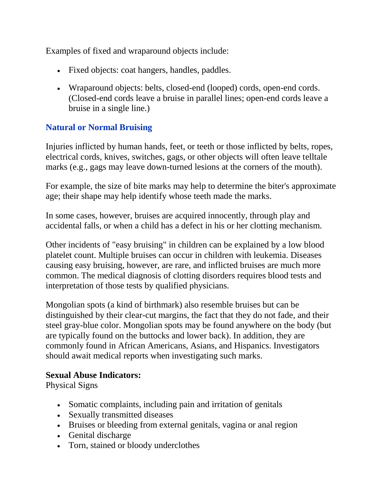Examples of fixed and wraparound objects include:

- Fixed objects: coat hangers, handles, paddles.
- Wraparound objects: belts, closed-end (looped) cords, open-end cords. (Closed-end cords leave a bruise in parallel lines; open-end cords leave a bruise in a single line.)

#### **Natural or Normal Bruising**

Injuries inflicted by human hands, feet, or teeth or those inflicted by belts, ropes, electrical cords, knives, switches, gags, or other objects will often leave telltale marks (e.g., gags may leave down-turned lesions at the corners of the mouth).

For example, the size of bite marks may help to determine the biter's approximate age; their shape may help identify whose teeth made the marks.

In some cases, however, bruises are acquired innocently, through play and accidental falls, or when a child has a defect in his or her clotting mechanism.

Other incidents of "easy bruising" in children can be explained by a low blood platelet count. Multiple bruises can occur in children with leukemia. Diseases causing easy bruising, however, are rare, and inflicted bruises are much more common. The medical diagnosis of clotting disorders requires blood tests and interpretation of those tests by qualified physicians.

Mongolian spots (a kind of birthmark) also resemble bruises but can be distinguished by their clear-cut margins, the fact that they do not fade, and their steel gray-blue color. Mongolian spots may be found anywhere on the body (but are typically found on the buttocks and lower back). In addition, they are commonly found in African Americans, Asians, and Hispanics. Investigators should await medical reports when investigating such marks.

#### **Sexual Abuse Indicators:**

Physical Signs

- Somatic complaints, including pain and irritation of genitals
- Sexually transmitted diseases
- Bruises or bleeding from external genitals, vagina or anal region
- Genital discharge
- Torn, stained or bloody underclothes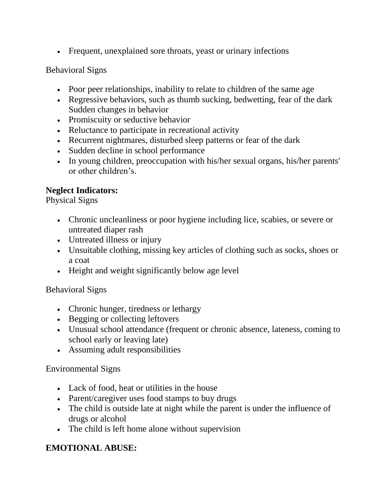Frequent, unexplained sore throats, yeast or urinary infections

#### Behavioral Signs

- Poor peer relationships, inability to relate to children of the same age
- Regressive behaviors, such as thumb sucking, bedwetting, fear of the dark Sudden changes in behavior
- Promiscuity or seductive behavior
- Reluctance to participate in recreational activity
- Recurrent nightmares, disturbed sleep patterns or fear of the dark
- Sudden decline in school performance
- In young children, preoccupation with his/her sexual organs, his/her parents' or other children's.

#### **Neglect Indicators:**

Physical Signs

- Chronic uncleanliness or poor hygiene including lice, scabies, or severe or untreated diaper rash
- Untreated illness or injury
- Unsuitable clothing, missing key articles of clothing such as socks, shoes or a coat
- Height and weight significantly below age level

### Behavioral Signs

- Chronic hunger, tiredness or lethargy
- Begging or collecting leftovers
- Unusual school attendance (frequent or chronic absence, lateness, coming to school early or leaving late)
- Assuming adult responsibilities

#### Environmental Signs

- Lack of food, heat or utilities in the house
- Parent/caregiver uses food stamps to buy drugs
- The child is outside late at night while the parent is under the influence of drugs or alcohol
- The child is left home alone without supervision

# **EMOTIONAL ABUSE:**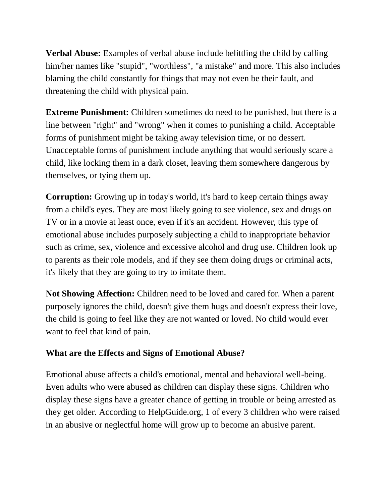**Verbal Abuse:** Examples of verbal abuse include belittling the child by calling him/her names like "stupid", "worthless", "a mistake" and more. This also includes blaming the child constantly for things that may not even be their fault, and threatening the child with physical pain.

**Extreme Punishment:** Children sometimes do need to be punished, but there is a line between "right" and "wrong" when it comes to punishing a child. Acceptable forms of punishment might be taking away television time, or no dessert. Unacceptable forms of punishment include anything that would seriously scare a child, like locking them in a dark closet, leaving them somewhere dangerous by themselves, or tying them up.

**Corruption:** Growing up in today's world, it's hard to keep certain things away from a child's eyes. They are most likely going to see violence, sex and drugs on TV or in a movie at least once, even if it's an accident. However, this type of emotional abuse includes purposely subjecting a child to inappropriate behavior such as crime, sex, violence and excessive alcohol and drug use. Children look up to parents as their role models, and if they see them doing drugs or criminal acts, it's likely that they are going to try to imitate them.

**Not Showing Affection:** Children need to be loved and cared for. When a parent purposely ignores the child, doesn't give them hugs and doesn't express their love, the child is going to feel like they are not wanted or loved. No child would ever want to feel that kind of pain.

#### **What are the Effects and Signs of Emotional Abuse?**

Emotional abuse affects a child's emotional, mental and behavioral well-being. Even adults who were abused as children can display these signs. Children who display these signs have a greater chance of getting in trouble or being arrested as they get older. According to HelpGuide.org, 1 of every 3 children who were raised in an abusive or neglectful home will grow up to become an abusive parent.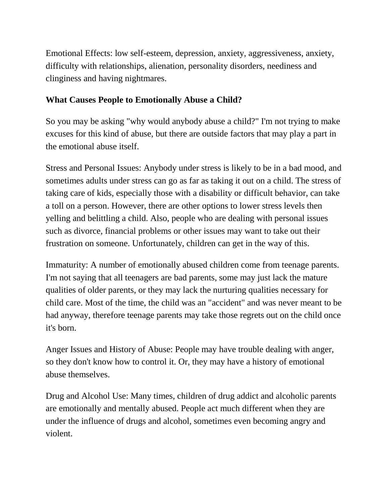Emotional Effects: low self-esteem, depression, anxiety, aggressiveness, anxiety, difficulty with relationships, alienation, personality disorders, neediness and clinginess and having nightmares.

### **What Causes People to Emotionally Abuse a Child?**

So you may be asking "why would anybody abuse a child?" I'm not trying to make excuses for this kind of abuse, but there are outside factors that may play a part in the emotional abuse itself.

Stress and Personal Issues: Anybody under stress is likely to be in a bad mood, and sometimes adults under stress can go as far as taking it out on a child. The stress of taking care of kids, especially those with a disability or difficult behavior, can take a toll on a person. However, there are other options to lower stress levels then yelling and belittling a child. Also, people who are dealing with personal issues such as divorce, financial problems or other issues may want to take out their frustration on someone. Unfortunately, children can get in the way of this.

Immaturity: A number of emotionally abused children come from teenage parents. I'm not saying that all teenagers are bad parents, some may just lack the mature qualities of older parents, or they may lack the nurturing qualities necessary for child care. Most of the time, the child was an "accident" and was never meant to be had anyway, therefore teenage parents may take those regrets out on the child once it's born.

Anger Issues and History of Abuse: People may have trouble dealing with anger, so they don't know how to control it. Or, they may have a history of emotional abuse themselves.

Drug and Alcohol Use: Many times, children of drug addict and alcoholic parents are emotionally and mentally abused. People act much different when they are under the influence of drugs and alcohol, sometimes even becoming angry and violent.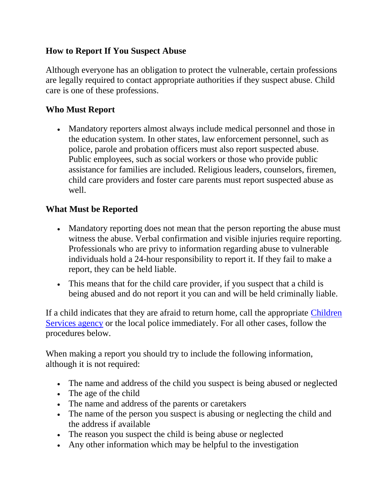### **How to Report If You Suspect Abuse**

Although everyone has an obligation to protect the vulnerable, certain professions are legally required to contact appropriate authorities if they suspect abuse. Child care is one of these professions.

# **Who Must Report**

 Mandatory reporters almost always include medical personnel and those in the education system. In other states, law enforcement personnel, such as police, parole and probation officers must also report suspected abuse. Public employees, such as social workers or those who provide public assistance for families are included. Religious leaders, counselors, firemen, child care providers and foster care parents must report suspected abuse as well.

# **What Must be Reported**

- Mandatory reporting does not mean that the person reporting the abuse must witness the abuse. Verbal confirmation and visible injuries require reporting. Professionals who are privy to information regarding abuse to vulnerable individuals hold a 24-hour responsibility to report it. If they fail to make a report, they can be held liable.
- This means that for the child care provider, if you suspect that a child is being abused and do not report it you can and will be held criminally liable.

If a child indicates that they are afraid to return home, call the appropriate [Children](http://www.nationwidechildrens.org/Document/Get/47674)  [Services agency](http://www.nationwidechildrens.org/Document/Get/47674) or the local police immediately. For all other cases, follow the procedures below.

When making a report you should try to include the following information, although it is not required:

- The name and address of the child you suspect is being abused or neglected
- The age of the child
- The name and address of the parents or caretakers
- The name of the person you suspect is abusing or neglecting the child and the address if available
- The reason you suspect the child is being abuse or neglected
- Any other information which may be helpful to the investigation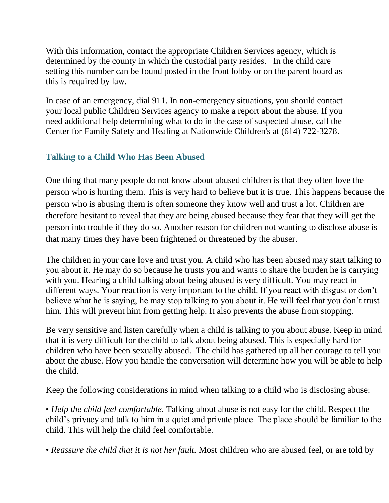With this information, contact the appropriate Children Services agency, which is determined by the county in which the custodial party resides. In the child care setting this number can be found posted in the front lobby or on the parent board as this is required by law.

In case of an emergency, dial 911. In non-emergency situations, you should contact your local public Children Services agency to make a report about the abuse. If you need additional help determining what to do in the case of suspected abuse, call the Center for Family Safety and Healing at Nationwide Children's at (614) 722-3278.

# **Talking to a Child Who Has Been Abused**

One thing that many people do not know about abused children is that they often love the person who is hurting them. This is very hard to believe but it is true. This happens because the person who is abusing them is often someone they know well and trust a lot. Children are therefore hesitant to reveal that they are being abused because they fear that they will get the person into trouble if they do so. Another reason for children not wanting to disclose abuse is that many times they have been frightened or threatened by the abuser.

The children in your care love and trust you. A child who has been abused may start talking to you about it. He may do so because he trusts you and wants to share the burden he is carrying with you. Hearing a child talking about being abused is very difficult. You may react in different ways. Your reaction is very important to the child. If you react with disgust or don't believe what he is saying, he may stop talking to you about it. He will feel that you don't trust him. This will prevent him from getting help. It also prevents the abuse from stopping.

Be very sensitive and listen carefully when a child is talking to you about abuse. Keep in mind that it is very difficult for the child to talk about being abused. This is especially hard for children who have been sexually abused. The child has gathered up all her courage to tell you about the abuse. How you handle the conversation will determine how you will be able to help the child.

Keep the following considerations in mind when talking to a child who is disclosing abuse:

• *Help the child feel comfortable.* Talking about abuse is not easy for the child. Respect the child's privacy and talk to him in a quiet and private place. The place should be familiar to the child. This will help the child feel comfortable.

• *Reassure the child that it is not her fault.* Most children who are abused feel, or are told by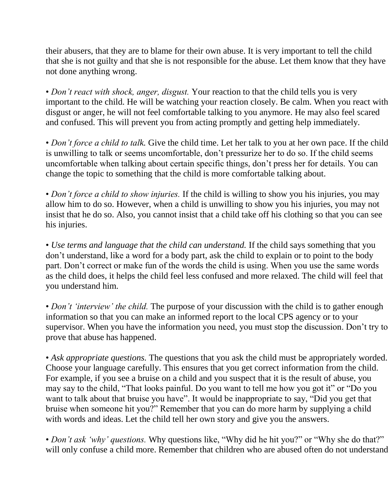their abusers, that they are to blame for their own abuse. It is very important to tell the child that she is not guilty and that she is not responsible for the abuse. Let them know that they have not done anything wrong.

• *Don't react with shock, anger, disgust.* Your reaction to that the child tells you is very important to the child. He will be watching your reaction closely. Be calm. When you react with disgust or anger, he will not feel comfortable talking to you anymore. He may also feel scared and confused. This will prevent you from acting promptly and getting help immediately.

• *Don't force a child to talk.* Give the child time. Let her talk to you at her own pace. If the child is unwilling to talk or seems uncomfortable, don't pressurize her to do so. If the child seems uncomfortable when talking about certain specific things, don't press her for details. You can change the topic to something that the child is more comfortable talking about.

• *Don't force a child to show injuries.* If the child is willing to show you his injuries, you may allow him to do so. However, when a child is unwilling to show you his injuries, you may not insist that he do so. Also, you cannot insist that a child take off his clothing so that you can see his injuries.

• *Use terms and language that the child can understand.* If the child says something that you don't understand, like a word for a body part, ask the child to explain or to point to the body part. Don't correct or make fun of the words the child is using. When you use the same words as the child does, it helps the child feel less confused and more relaxed. The child will feel that you understand him.

• *Don't 'interview' the child*. The purpose of your discussion with the child is to gather enough information so that you can make an informed report to the local CPS agency or to your supervisor. When you have the information you need, you must stop the discussion. Don't try to prove that abuse has happened.

• *Ask appropriate questions.* The questions that you ask the child must be appropriately worded. Choose your language carefully. This ensures that you get correct information from the child. For example, if you see a bruise on a child and you suspect that it is the result of abuse, you may say to the child, "That looks painful. Do you want to tell me how you got it" or "Do you want to talk about that bruise you have". It would be inappropriate to say, "Did you get that bruise when someone hit you?" Remember that you can do more harm by supplying a child with words and ideas. Let the child tell her own story and give you the answers.

• *Don't ask 'why' questions*. Why questions like, "Why did he hit you?" or "Why she do that?" will only confuse a child more. Remember that children who are abused often do not understand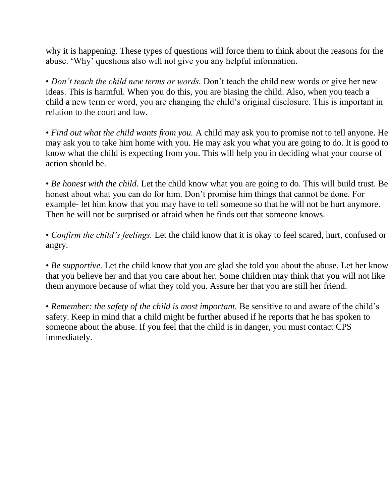why it is happening. These types of questions will force them to think about the reasons for the abuse. 'Why' questions also will not give you any helpful information.

• *Don't teach the child new terms or words.* Don't teach the child new words or give her new ideas. This is harmful. When you do this, you are biasing the child. Also, when you teach a child a new term or word, you are changing the child's original disclosure. This is important in relation to the court and law.

• *Find out what the child wants from you.* A child may ask you to promise not to tell anyone. He may ask you to take him home with you. He may ask you what you are going to do. It is good to know what the child is expecting from you. This will help you in deciding what your course of action should be.

• *Be honest with the child.* Let the child know what you are going to do. This will build trust. Be honest about what you can do for him. Don't promise him things that cannot be done. For example- let him know that you may have to tell someone so that he will not be hurt anymore. Then he will not be surprised or afraid when he finds out that someone knows.

• *Confirm the child's feelings.* Let the child know that it is okay to feel scared, hurt, confused or angry.

• *Be supportive*. Let the child know that you are glad she told you about the abuse. Let her know that you believe her and that you care about her. Some children may think that you will not like them anymore because of what they told you. Assure her that you are still her friend.

• *Remember: the safety of the child is most important.* Be sensitive to and aware of the child's safety. Keep in mind that a child might be further abused if he reports that he has spoken to someone about the abuse. If you feel that the child is in danger, you must contact CPS immediately.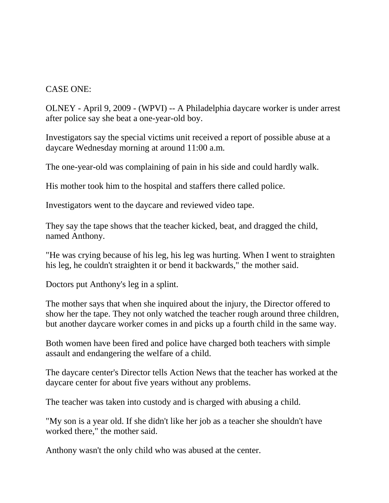#### CASE ONE:

OLNEY - April 9, 2009 - (WPVI) -- A Philadelphia daycare worker is under arrest after police say she beat a one-year-old boy.

Investigators say the special victims unit received a report of possible abuse at a daycare Wednesday morning at around 11:00 a.m.

The one-year-old was complaining of pain in his side and could hardly walk.

His mother took him to the hospital and staffers there called police.

Investigators went to the daycare and reviewed video tape.

They say the tape shows that the teacher kicked, beat, and dragged the child, named Anthony.

"He was crying because of his leg, his leg was hurting. When I went to straighten his leg, he couldn't straighten it or bend it backwards," the mother said.

Doctors put Anthony's leg in a splint.

The mother says that when she inquired about the injury, the Director offered to show her the tape. They not only watched the teacher rough around three children, but another daycare worker comes in and picks up a fourth child in the same way.

Both women have been fired and police have charged both teachers with simple assault and endangering the welfare of a child.

The daycare center's Director tells Action News that the teacher has worked at the daycare center for about five years without any problems.

The teacher was taken into custody and is charged with abusing a child.

"My son is a year old. If she didn't like her job as a teacher she shouldn't have worked there," the mother said.

Anthony wasn't the only child who was abused at the center.